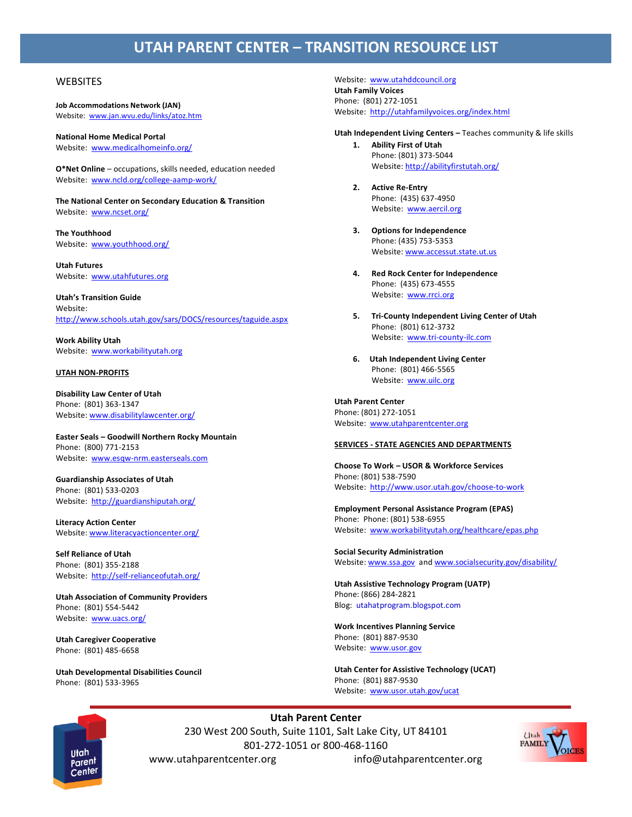# **UTAH PARENT CENTER – TRANSITION RESOURCE LIST**

## **WEBSITES**

**Job Accommodations Network (JAN)** Website: [www.jan.wvu.edu/links/atoz.htm](http://www.jan.wvu.edu/links/atoz.htm)

**National Home Medical Portal** Website: [www.medicalhomeinfo.org/](http://www.medicalhomeinfo.org/)

**O\*Net Online** – occupations, skills needed, education needed Website: [www.ncld.org/college-aamp-work/](http://www.ncld.org/college-aamp-work/)

**The National Center on Secondary Education & Transition** Website: [www.ncset.org/](http://www.ncset.org/)

**The Youthhood**  Website: [www.youthhood.org/](http://www.youthhood.org/)

**Utah Futures**  Website: [www.utahfutures.org](http://www.utahfutures.org/)

**Utah's Transition Guide** Website: <http://www.schools.utah.gov/sars/DOCS/resources/taguide.aspx>

**Work Ability Utah** Website: [www.workabilityutah.org](http://www.workabilityutah.org/)

## **UTAH NON-PROFITS**

**Disability Law Center of Utah** Phone: (801) 363-1347 Website: [www.disabilitylawcenter.org/](http://disabilitylawcenter.org/)

**Easter Seals – Goodwill Northern Rocky Mountain** Phone: (800) 771-2153 Website: [www.esqw-nrm.easterseals.com](http://www.esqw-nrm.easterseals.com/)

**Guardianship Associates of Utah** Phone: (801) 533-0203 Website:<http://guardianshiputah.org/>

**Literacy Action Center**  Website: [www.literacyactioncenter.org/](http://www.literacyactioncenter.org/)

**Self Reliance of Utah** Phone: (801) 355-2188 Website:<http://self-relianceofutah.org/>

**Utah Association of Community Providers** Phone: (801) 554-5442 Website: [www.uacs.org/](http://www.uacs.org/)

**Utah Caregiver Cooperative** Phone: (801) 485-6658

**Utah Developmental Disabilities Council** Phone: (801) 533-3965

Website: [www.utahddcouncil.org](http://www.utahddcouncil.org/) **Utah Family Voices** Phone: (801) 272-1051 Website:<http://utahfamilyvoices.org/index.html>

**Utah Independent Living Centers –** Teaches community & life skills

- **1. Ability First of Utah**  Phone: (801) 373-5044 Website:<http://abilityfirstutah.org/>
- **2. Active Re-Entry**  Phone: (435) 637-4950 Website: [www.aercil.org](http://www.aercil.org/)
- **3. Options for Independence**  Phone: (435) 753-5353 Website: [www.accessut.state.ut.us](http://www.accessut.state.ut.us/)
- **4. Red Rock Center for Independence**  Phone: (435) 673-4555 Website: [www.rrci.org](http://www.rrci.org/)
- **5. Tri-County Independent Living Center of Utah** Phone: (801) 612-3732 Website: [www.tri-county-ilc.com](http://www.tri-county-ilc.com/)
- **6. Utah Independent Living Center** Phone: (801) 466-5565 Website: [www.uilc.org](http://www.uilc.org/)

## **Utah Parent Center**

Phone: (801) 272-1051 Website: [www.utahparentcenter.org](http://www.utahparentcenter.org/)

#### **SERVICES - STATE AGENCIES AND DEPARTMENTS**

**Choose To Work – USOR & Workforce Services** Phone: (801) 538-7590 Website:<http://www.usor.utah.gov/choose-to-work>

**Employment Personal Assistance Program (EPAS)** Phone: Phone: (801) 538-6955 Website: [www.workabilityutah.org/healthcare/epas.php](http://www.workabilityutah.org/healthcare/epas.php)

**Social Security Administration** Website: [www.ssa.gov](http://www.ssa.gov/) and [www.socialsecurity.gov/disability/](http://www.socialsecurity.gov/disability/)

**Utah Assistive Technology Program (UATP)** Phone: (866) 284-2821 Blog: utahatprogram.blogspot.com

**Work Incentives Planning Service** Phone: (801) 887-9530 Website: [www.usor.gov](http://www.usor.gov/)

**Utah Center for Assistive Technology (UCAT)** Phone: (801) 887-9530 Website: [www.usor.utah.gov/ucat](http://www.usor.utah.gov/ucat)



**Utah Parent Center** 230 West 200 South, Suite 1101, Salt Lake City, UT 84101 801-272-1051 or 800-468-1160 www.utahparentcenter.org info@utahparentcenter.org